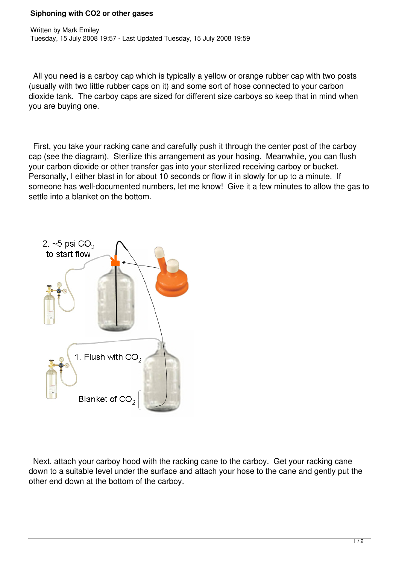## **Siphoning with CO2 or other gases**

 All you need is a carboy cap which is typically a yellow or orange rubber cap with two posts (usually with two little rubber caps on it) and some sort of hose connected to your carbon dioxide tank. The carboy caps are sized for different size carboys so keep that in mind when you are buying one.

 First, you take your racking cane and carefully push it through the center post of the carboy cap (see the diagram). Sterilize this arrangement as your hosing. Meanwhile, you can flush your carbon dioxide or other transfer gas into your sterilized receiving carboy or bucket. Personally, I either blast in for about 10 seconds or flow it in slowly for up to a minute. If someone has well-documented numbers, let me know! Give it a few minutes to allow the gas to settle into a blanket on the bottom.



 Next, attach your carboy hood with the racking cane to the carboy. Get your racking cane down to a suitable level under the surface and attach your hose to the cane and gently put the other end down at the bottom of the carboy.